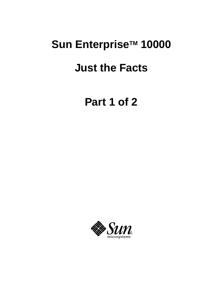## Sun Enterprise<sup>™</sup> 10000

### **Just the Facts**

**Part 1 of 2**

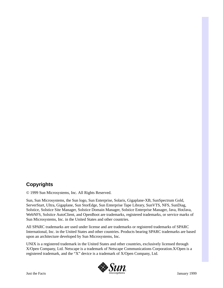#### **Copyrights**

© 1999 Sun Microsystems, Inc. All Rights Reserved.

Sun, Sun Microsystems, the Sun logo, Sun Enterprise, Solaris, Gigaplane-XB, SunSpectrum Gold, ServerStart, Ultra, Gigaplane, Sun StorEdge, Sun Enterprise Tape Library, SunVTS, NFS, SunDiag, Solstice, Solstice Site Manager, Solstice Domain Manager, Solstice Enterprise Manager, Java, HotJava, WebNFS, Solstice AutoClient, and OpenBoot are trademarks, registered trademarks, or service marks of Sun Microsystems, Inc. in the United States and other countries.

All SPARC trademarks are used under license and are trademarks or registered trademarks of SPARC International, Inc. in the United States and other countries. Products bearing SPARC trademarks are based upon an architecture developed by Sun Microsystems, Inc.

UNIX is a registered trademark in the United States and other countries, exclusively licensed through X/Open Company, Ltd. Netscape is a trademark of Netscape Communications Corporation.X/Open is a registered trademark, and the "X" device is a trademark of X/Open Company, Ltd.

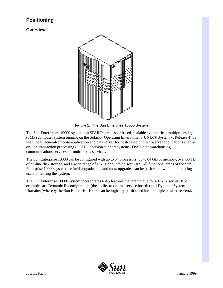#### **Positioning**

**Overview**



**Figure 1.** The Sun Enterprise 10000 System

The Sun Enterprise<sup> $\mathbf{M}$ </sup> 10000 system is a SPARC $\mathbf{M}$  processor-based, scalable symmetrical multiprocessing  $(SMP)$  computer system running on the Solaris<sup> $M$ </sup> Operating Environment (UNIX<sup>®</sup> System V, Release 4). It is an ideal, general-purpose application and data server for host-based or client-server applications such as on-line transaction processing (OLTP), decision support systems (DSS), data warehousing, communications services, or multimedia services.

The Sun Enterprise 10000 can be configured with up to 64 processors, up to 64 GB of memory, over 60 TB of on-line disk storage, and a wide range of UNIX application software. All functional areas of the Sun Enterprise 10000 system are field upgradeable, and most upgrades can be performed without disrupting users or halting the system.

The Sun Enterprise 10000 system incorporates RAS features that are unique for a UNIX server. Two examples are Dynamic Reconfiguration (the ability to on-line service boards) and Dynamic System Domains (whereby the Sun Enterprise 10000 can be logically partitioned into multiple smaller servers).

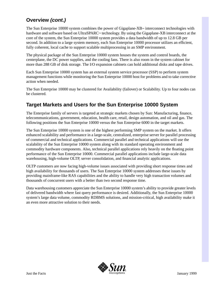#### **Overview** *(cont.)*

The Sun Enterprise 10000 system combines the power of Gigaplane- $XB<sub>m</sub>$  interconnect technologies with hardware and software based on UltraSPARC $\sim$  technology. By using the Gigaplane-XB interconnect at the core of the system, the Sun Enterprise 10000 system provides a data bandwidth of up to 12.8 GB per second. In addition to a large system memory, each Sun Enterprise 10000 processor utilizes an efficient, fully coherent, local cache to support scalable multiprocessing in an SMP environment.

The physical package of the Sun Enterprise 10000 system houses the system and control boards, the centerplane, the DC power supplies, and the cooling fans. There is also room in the system cabinet for more than 288 GB of disk storage. The I/O expansion cabinets can hold additional disks and tape drives.

Each Sun Enterprise 10000 system has an external system service processor (SSP) to perform system management functions while monitoring the Sun Enterprise 10000 host for problems and to take corrective action when needed.

The Sun Enterprise 10000 may be clustered for Availability (failover) or Scalability. Up to four nodes can be clustered.

#### **Target Markets and Users for the Sun Enterprise 10000 System**

The Enterprise family of servers is targeted at strategic markets chosen by Sun: Manufacturing, finance, telecommunications, government, education, health care, retail, design automation, and oil and gas. The following positions the Sun Enterprise 10000 versus the Sun Enterprise 6000 in the target markets.

The Sun Enterprise 10000 system is one of the highest performing SMP system on the market. It offers enhanced scalability and performance in a large-scale, centralized, enterprise server for parallel processing of commercial and technical applications. Commercial parallel and technical applications will use the scalability of the Sun Enterprise 10000 system along with its standard operating environment and commodity hardware components. Also, technical parallel applications rely heavily on the floating point performance of the Sun Enterprise 10000. Commercial parallel applications include large-scale data warehousing, high-volume OLTP, server consolidation, and financial analytic applications.

OLTP customers are now facing high-volume issues associated with providing short response times and high availability for thousands of users. The Sun Enterprise 10000 system addresses these issues by providing mainframe-like RAS capabilities and the ability to handle very high transaction volumes and thousands of concurrent users with a better than two second response time.

Data warehousing customers appreciate the Sun Enterprise 10000 system's ability to provide greater levels of delivered bandwidth where fast query performance is desired. Additionally, the Sun Enterprise 10000 system's large data volume, commodity RDBMS solutions, and mission-critical, high availability make it an even more attractive solution to their needs.

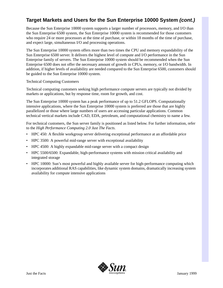#### **Target Markets and Users for the Sun Enterprise 10000 System** *(cont.)*

Because the Sun Enterprise 10000 system supports a larger number of processors, memory, and I/O than the Sun Enterprise 6500 system, the Sun Enterprise 10000 system is recommended for those customers who require 24 or more processors at the time of purchase, or within 18 months of the time of purchase, and expect large, simultaneous I/O and processing operations.

The Sun Enterprise 10000 system offers more than two times the CPU and memory expandability of the Sun Enterprise 6500 server. It delivers the highest level of compute and I/O performance in the Sun Enterprise family of servers. The Sun Enterprise 10000 system should be recommended when the Sun Enterprise 6500 does not offer the necessary amount of growth in CPUs, memory, or I/O bandwidth. In addition, if higher levels of availability are needed compared to the Sun Enterprise 6500, customers should be guided to the Sun Enterprise 10000 system.

#### Technical Computing Customers

Technical computing customers seeking high performance compute servers are typically not divided by markets or applications, but by response time, room for growth, and cost.

The Sun Enterprise 10000 system has a peak performance of up to 51.2 GFLOPS. Computationally intensive applications, where the Sun Enterprise 10000 system is preferred are those that are highly parallelized or those where large numbers of users are accessing particular applications. Common technical vertical markets include CAD, EDA, petroleum, and computational chemistry to name a few.

For technical customers, the Sun server family is positioned as listed below. For further information, refer to the *High Performance Computing 2.0 Just The Facts*.

- HPC 450: A flexible workgroup server delivering exceptional performance at an affordable price
- HPC 3500: A powerful mid-range server with exceptional availability
- HPC 4500: A highly expandable mid-range server with a compact design
- HPC 5500/6500: Expandable, high-performance systems with mission critical availability and integrated storage
- HPC 10000: Sun's most powerful and highly available server for high-performance computing which incorporates additional RAS capabilities, like dynamic system domains, dramatically increasing system availability for compute intensive applications

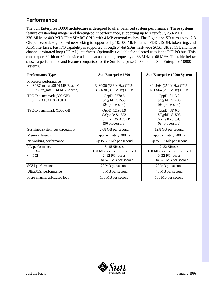#### **Performance**

The Sun Enterprise 10000 architecture is designed to offer balanced system performance. These systems feature outstanding integer and floating-point performance, supporting up to sixty-four, 250-MHz, 336-MHz, or 400-MHz UltraSPARC CPUs with 4 MB external caches. The Gigaplane-XB runs up to 12.8 GB per second. High-speed networking is supported by 10/100-Mb Ethernet, FDDI, ISDN, token ring, and ATM interfaces. Fast I/O capability is supported through 64-bit SBus, fast/wide SCSI, UltraSCSI, and fibre channel arbitrated loop (FC-AL) interfaces. Optionally available for selected uses is the PCI I/O bus. This can support 32-bit or 64-bit-wide adapters at a clocking frequency of 33 MHz or 66 MHz. The table below shows a performance and feature comparison of the Sun Enterprise 6500 and the Sun Enterprise 10000 systems.

| <b>Performance Type</b>                                                              | <b>Sun Enterprise 6500</b>                                                               | <b>Sun Enterprise 10000 System</b>                                                       |
|--------------------------------------------------------------------------------------|------------------------------------------------------------------------------------------|------------------------------------------------------------------------------------------|
| Processor performance<br>SPECint_rate95 (4 MB Ecache)<br>SPECfp_rate95 (4 MB Ecache) | 3480/30 (336 MHz) CPUs<br>3021/30 (336 MHz) CPUs                                         | 4945/64 (250 MHz) CPUs<br>6013/64 (250 MHz) CPUs                                         |
| TPC-D benchmark (300 GB)<br>Informix AD/XP 8.21UD1                                   | QppD: 3270.6<br>\$/QphD: \$1553<br>(24 processors)                                       | QppD: 8113.2<br>\$/QphD: \$1400<br>(64 processors)                                       |
| TPC-D benchmark (1000 GB)                                                            | QppD: 12,931.9<br>\$/QphD: \$1,353<br>Informix IDS AD/XP<br>(96 processors)              | QppD: 8870.6<br>\$/QphD: \$1508<br>Oracle 8 v8.0.4.2<br>(64 processors)                  |
| Sustained system bus throughput                                                      | 2.68 GB per second                                                                       | 12.8 GB per second                                                                       |
| Memory latency                                                                       | approximately 300 ns                                                                     | approximately 500 ns                                                                     |
| Networking performance                                                               | Up to 622 Mb per second                                                                  | Up to 622 Mb per second                                                                  |
| I/O performance<br>SBus<br><b>PCI</b>                                                | 3-45 SBuses<br>100 MB per second sustained<br>2-12 PCI buses<br>132 to 528 MB per second | 2-32 SBuses<br>100 MB per second sustained<br>0-32 PCI buses<br>132 to 528 MB per second |
| <b>SCSI</b> performance                                                              | 20 MB per second                                                                         | 20 MB per second                                                                         |
| UltraSCSI performance                                                                | 40 MB per second                                                                         | 40 MB per second                                                                         |
| Fibre channel arbitrated loop                                                        | 100 MB per second                                                                        | 100 MB per second                                                                        |

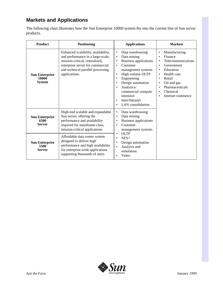#### **Markets and Applications**

The following chart illustrates how the Sun Enterprise 10000 system fits into the current line of Sun server products.

| <b>Product</b>                                  | <b>Positioning</b>                                                                                                                                                                                   | <b>Applications</b>                                                                                                                                                                                                                                                                                 | <b>Markets</b>                                                                                                                                                                                                                               |  |
|-------------------------------------------------|------------------------------------------------------------------------------------------------------------------------------------------------------------------------------------------------------|-----------------------------------------------------------------------------------------------------------------------------------------------------------------------------------------------------------------------------------------------------------------------------------------------------|----------------------------------------------------------------------------------------------------------------------------------------------------------------------------------------------------------------------------------------------|--|
| <b>Sun Enterprise</b><br>10000<br><b>System</b> | Enhanced scalability, availability,<br>and performance in a large-scale,<br>mission-critical, centralized,<br>enterprise server for commercial<br>and technical parallel processing<br>applications. | Data warehousing<br>$\bullet$<br>Data mining<br>Business applications<br>Customer<br>$\bullet$<br>management systems<br>High-volume OLTP<br>Engineering<br>٠<br>Design automation<br>$\bullet$<br>Analytics/<br>commercial compute<br>intensive<br>Inter/Intranet<br>$\bullet$<br>LAN consolidation | Manufacturing<br>$\bullet$<br>Finance<br>$\bullet$<br>Telecommunications<br>٠<br>Government<br>٠<br>Education<br>٠<br>Health care<br>٠<br>Retail<br>٠<br>Oil and gas<br>٠<br>Pharmaceuticals<br>٠<br>Chemical<br>٠<br>Internet commerce<br>٠ |  |
| <b>Sun Enterprise</b><br>6500<br><b>Server</b>  | High-end scalable and expandable<br>Sun server, offering the<br>performance and availability<br>required for mainframe-class,<br>mission-critical applications                                       | Data warehousing<br>$\bullet$<br>Data mining<br>$\bullet$<br>Business applications<br>$\bullet$<br>Customer<br>management systems                                                                                                                                                                   |                                                                                                                                                                                                                                              |  |
| <b>Sun Enterprise</b><br>5500<br><b>Server</b>  | Affordable data center system<br>designed to deliver high<br>performance and high availability<br>for enterprise-wide applications<br>supporting thousands of users                                  | <b>OLTP</b><br>$\bullet$<br><b>NFSTM</b><br>Design automation<br>Analysis and<br>$\bullet$<br>simulation<br>Video                                                                                                                                                                                   |                                                                                                                                                                                                                                              |  |

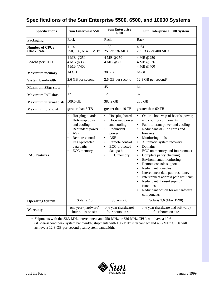| <b>Specifications</b>                          | <b>Sun Enterprise 5500</b>                                                                                                                                                                                                     | <b>Sun Enterprise</b><br>6500                                                                                                                                                                                                     | Sun Enterprise 10000 System                                                                                                                                                                                                                                                                                                                                                                                                                                                                                                                                                                                                                                                                         |  |  |
|------------------------------------------------|--------------------------------------------------------------------------------------------------------------------------------------------------------------------------------------------------------------------------------|-----------------------------------------------------------------------------------------------------------------------------------------------------------------------------------------------------------------------------------|-----------------------------------------------------------------------------------------------------------------------------------------------------------------------------------------------------------------------------------------------------------------------------------------------------------------------------------------------------------------------------------------------------------------------------------------------------------------------------------------------------------------------------------------------------------------------------------------------------------------------------------------------------------------------------------------------------|--|--|
| Packaging                                      | Rack<br>Rack                                                                                                                                                                                                                   |                                                                                                                                                                                                                                   | Rack                                                                                                                                                                                                                                                                                                                                                                                                                                                                                                                                                                                                                                                                                                |  |  |
| <b>Number of CPUs</b><br><b>Clock Rate</b>     | $1 - 14$<br>250, 336, or 400 MHz                                                                                                                                                                                               | $1 - 30$<br>250 or 336 MHz                                                                                                                                                                                                        | $4 - 64$<br>250, 336, or 400 MHz                                                                                                                                                                                                                                                                                                                                                                                                                                                                                                                                                                                                                                                                    |  |  |
| <b>Ecache per CPU</b>                          | 4 MB @250<br>4 MB @336<br>4 MB @400                                                                                                                                                                                            | 4 MB @250<br>4 MB @336                                                                                                                                                                                                            | 4 MB @250<br>4 MB @336<br>4 MB @400                                                                                                                                                                                                                                                                                                                                                                                                                                                                                                                                                                                                                                                                 |  |  |
| <b>Maximum memory</b>                          | 14 GB                                                                                                                                                                                                                          | 30 GB                                                                                                                                                                                                                             | 64 GB                                                                                                                                                                                                                                                                                                                                                                                                                                                                                                                                                                                                                                                                                               |  |  |
| <b>System bandwidth</b>                        | 2.6 GB per second                                                                                                                                                                                                              | 2.6 GB per second                                                                                                                                                                                                                 | 12.8 GB per second*                                                                                                                                                                                                                                                                                                                                                                                                                                                                                                                                                                                                                                                                                 |  |  |
| <b>Maximum SBus slots</b>                      | 21                                                                                                                                                                                                                             | 45<br>64                                                                                                                                                                                                                          |                                                                                                                                                                                                                                                                                                                                                                                                                                                                                                                                                                                                                                                                                                     |  |  |
| <b>Maximum PCI slots</b>                       | 12                                                                                                                                                                                                                             | 12                                                                                                                                                                                                                                | 32                                                                                                                                                                                                                                                                                                                                                                                                                                                                                                                                                                                                                                                                                                  |  |  |
| Maximum internal disk                          | 509.6 GB                                                                                                                                                                                                                       | 382.2 GB                                                                                                                                                                                                                          | 288 GB                                                                                                                                                                                                                                                                                                                                                                                                                                                                                                                                                                                                                                                                                              |  |  |
| greater than 6 TB<br><b>Maximum total disk</b> |                                                                                                                                                                                                                                | greater than 10 TB                                                                                                                                                                                                                | greater than 60 TB                                                                                                                                                                                                                                                                                                                                                                                                                                                                                                                                                                                                                                                                                  |  |  |
| <b>RAS Features</b>                            | Hot-plug boards<br>$\bullet$<br>Hot-swap power<br>$\bullet$<br>and cooling<br>Redundant power<br>$\bullet$<br><b>ASR</b><br>$\bullet$<br>Remote control<br>$\bullet$<br>ECC-protected<br>data paths<br>ECC memory<br>$\bullet$ | $\bullet$<br>Hot-plug boards<br>Hot-swap power<br>$\bullet$<br>and cooling<br>Redundant<br>$\bullet$<br>power<br><b>ASR</b><br>$\bullet$<br>Remote control<br>ECC-protected<br>$\bullet$<br>data paths<br>ECC memory<br>$\bullet$ | On-line hot swap of boards, power,<br>$\bullet$<br>and cooling components<br>Fault-tolerant power and cooling<br>Redundant AC line cords and<br>$\bullet$<br>breakers<br>Monitoring tools<br>$\bullet$<br>Automatic system recovery<br>Domains<br>$\bullet$<br>ECC on memory and Interconnect<br>$\bullet$<br>Complete parity checking<br>$\bullet$<br>Environmental monitoring<br>$\bullet$<br>Remote console support<br>$\bullet$<br>Redundant consoles<br>$\bullet$<br>Interconnect data path resiliency<br>$\bullet$<br>Interconnect address path resiliency<br>$\bullet$<br>Redundant "housekeeping"<br>$\bullet$<br>functions<br>Redundant option for all hardware<br>$\bullet$<br>components |  |  |
| <b>Operating System</b>                        | Solaris 2.6                                                                                                                                                                                                                    | Solaris 2.6                                                                                                                                                                                                                       | Solaris 2.6 (May 1998)                                                                                                                                                                                                                                                                                                                                                                                                                                                                                                                                                                                                                                                                              |  |  |
| <b>Warranty</b>                                | one year (hardware)<br>four hours on site                                                                                                                                                                                      | one year (hardware)<br>four hours on site                                                                                                                                                                                         | one year (hardware and software)<br>four hours on site                                                                                                                                                                                                                                                                                                                                                                                                                                                                                                                                                                                                                                              |  |  |

#### **Specifications of the Sun Enterprise 5500, 6500, and 10000 Systems**

\* Shipments with the 83.3-MHz interconnect and 250-MHz or 336-MHz CPUs will have a 10.6- GB-per-second peak system bandwidth; shipments with 100-MHz interconnect and 400-MHz CPUs will achieve a 12.8-GB-per-second peak system bandwidth.

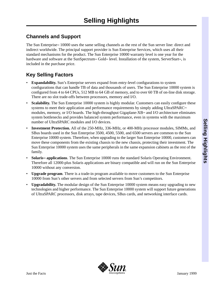#### **Channels and Support**

The Sun Enterprise $\sim 10000$  uses the same selling channels as the rest of the Sun server line: direct and indirect worldwide. The principal support provider is Sun Enterprise Services, which uses all their standard mechanisms for the product. The Sun Enterprise 10000 warranty level is one year for the hardware and software at the SunSpectrum<sup>5M</sup> Gold<sup>5M</sup> level. Installation of the system, ServerStart<sup>5M</sup>, is included in the purchase price.

#### **Key Selling Factors**

- **Expandability.** Sun's Enterprise servers expand from entry-level configurations to system configurations that can handle TB of data and thousands of users. The Sun Enterprise 10000 system is configured from 4 to 64 CPUs, 512 MB to 64 GB of memory, and to over 60 TB of on-line disk storage. There are no slot trade-offs between processors, memory and I/O.
- **Scalability.** The Sun Enterprise 10000 system is highly modular. Customers can easily configure these systems to meet their application and performance requirements by simply adding UltraSPARC $\text{m}$ modules, memory, or I/O boards. The high-throughput Gigaplane- $XB<sub>m</sub>$  and I/O architecture eliminates system bottlenecks and provides balanced system performance, even in systems with the maximum number of UltraSPARC modules and I/O devices.
- **Investment Protection.** All of the 250-MHz, 336-MHz, or 400-MHz processor modules, SIMMs, and SBus boards used in the Sun Enterprise 3500, 4500, 5500, and 6500 servers are common to the Sun Enterprise 10000 system. Therefore, when upgrading to the larger Sun Enterprise 10000, customers can move these components from the existing chassis to the new chassis, protecting their investment. The Sun Enterprise 10000 system uses the same peripherals in the same expansion cabinets as the rest of the family.
- **Solaris**<sup>M</sup> applications. The Sun Enterprise 10000 runs the standard Solaris Operating Environment. Therefore all 12000-plus Solaris applications are binary compatible and will run on the Sun Enterprise 10000 without any conversion.
- **Upgrade program**. There is a trade-in program available to move customers to the Sun Enterprise 10000 from Sun's other servers and from selected servers from Sun's competitors.
- **Upgradability.** The modular design of the Sun Enterprise 10000 system means easy upgrading to new technologies and higher performance. The Sun Enterprise 10000 system will support future generations of UltraSPARC processors, disk arrays, tape devices, SBus cards, and networking interface cards.

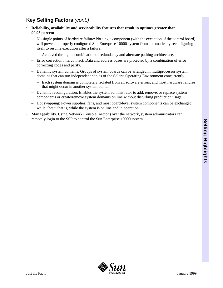#### **Key Selling Factors** *(cont.)*

- **Reliability, availability and serviceability features that result in uptimes greater than 99.95 percent**
	- No single points of hardware failure: No single component (with the exception of the control board) will prevent a properly configured Sun Enterprise 10000 system from automatically reconfiguring itself to resume execution after a failure.
		- Achieved through a combination of redundancy and alternate pathing architecture.
	- Error correction interconnect: Data and address buses are protected by a combination of error correcting codes and parity.
	- Dynamic system domains: Groups of system boards can be arranged in multiprocessor system domains that can run independent copies of the Solaris Operating Environment concurrently.
		- Each system domain is completely isolated from all software errors, and most hardware failures that might occur in another system domain.
	- Dynamic reconfiguration: Enables the system administrator to add, remove, or replace system components or create/remove system domains on line without disturbing production usage
	- Hot swapping: Power supplies, fans, and most board-level system components can be exchanged while "hot"; that is, while the system is on line and in operation.
- **Manageability.** Using Network Console (netcon) over the network, system administrators can remotely login to the SSP to control the Sun Enterprise 10000 system.

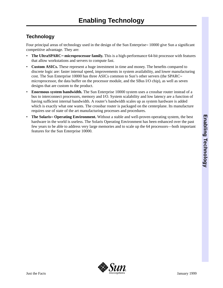#### **Technology**

Four principal areas of technology used in the design of the Sun Enterprise<sup> $M$ </sup> 10000 give Sun a significant competitive advantage. They are:

- The UltraSPARC<sup>TM</sup> microprocessor family. This is a high-performance 64-bit processor with features that allow workstations and servers to compute fast.
- **Custom ASICs.** These represent a huge investment in time and money. The benefits compared to discrete logic are: faster internal speed, improvements in system availability, and lower manufacturing cost. The Sun Enterprise 10000 has three ASICs common to Sun's other servers (the SPARC $\mathbb{R}$ microprocessor, the data buffer on the processor module, and the SBus I/O chip), as well as seven designs that are custom to the product.
- **Enormous system bandwidth.** The Sun Enterprise 10000 system uses a crossbar router instead of a bus to interconnect processors, memory and I/O. System scalability and low latency are a function of having sufficient internal bandwidth. A router's bandwidth scales up as system hardware is added which is exactly what one wants. The crossbar router is packaged on the centerplane. Its manufacture requires use of state of the art manufacturing processes and procedures.
- **The Solaris**<sup>M</sup> Operating Environment. Without a stable and well-proven operating system, the best hardware in the world is useless. The Solaris Operating Environment has been enhanced over the past few years to be able to address very large memories and to scale up the 64 processors—both important features for the Sun Enterprise 10000.

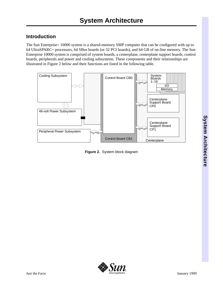#### **Introduction**

The Sun Enterprise $\sim 10000$  system is a shared-memory SMP computer that can be configured with up to 64 UltraSPARC<sup>M</sup> processors, 64 SBus boards (or 32 PCI boards), and 64 GB of on-line memory. The Sun Enterprise 10000 system is comprised of system boards, a centerplane, centerplane support boards, control boards, peripherals and power and cooling subsystems. These components and their relationships are illustrated in Figure 2 below and their functions are listed in the following table.



**Figure 2.** System block diagram

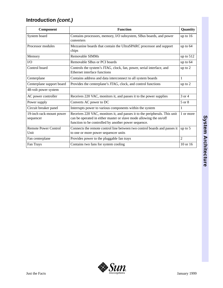#### **Introduction** *(cont.)*

| Component                             | <b>Function</b>                                                                                                                                                                                          |                |
|---------------------------------------|----------------------------------------------------------------------------------------------------------------------------------------------------------------------------------------------------------|----------------|
| System board                          | Contains processors, memory, I/O subsystem, SBus boards, and power<br>converters                                                                                                                         |                |
| Processor modules                     | Mezzanine boards that contain the UltraSPARC processor and support<br>chips                                                                                                                              |                |
| Memory                                | Removable SIMMs                                                                                                                                                                                          | up to $512$    |
| I/O                                   | Removable SBus or PCI boards                                                                                                                                                                             | up to 64       |
| Control board                         | Controls the system's JTAG, clock, fan, power, serial interface, and<br>Ethernet interface functions                                                                                                     | up to 2        |
| Centerplane                           | Contains address and data interconnect to all system boards                                                                                                                                              | 1              |
| Centerplane support board             | Provides the centerplane's JTAG, clock, and control functions                                                                                                                                            | up to 2        |
| 48-volt power system                  |                                                                                                                                                                                                          |                |
| AC power controller                   | Receives 220 VAC, monitors it, and passes it to the power supplies                                                                                                                                       | 3 or 4         |
| Power supply                          | Converts AC power to DC                                                                                                                                                                                  | 5 or 8         |
| Circuit breaker panel                 | Interrupts power to various components within the system                                                                                                                                                 | 1              |
| 19-inch rack-mount power<br>sequencer | Receives 220 VAC, monitors it, and passes it to the peripherals. This unit<br>can be operated in either master or slave mode allowing the on/off<br>function to be controlled by another power sequence. | 1 or more      |
| <b>Remote Power Control</b><br>Unit   | Connects the remote control line between two control boards and passes it<br>to one or more power sequencer units                                                                                        | up to 5        |
| Fan centerplane                       | Provides power to the pluggable fan trays                                                                                                                                                                | $\overline{2}$ |
| Fan Trays                             | Contains two fans for system cooling                                                                                                                                                                     | 10 or 16       |

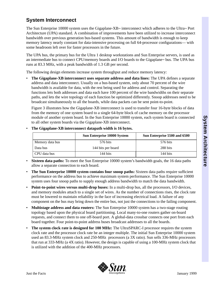#### **System Interconnect**

The Sun Enterprise 10000 system uses the Gigaplane-XB $\text{N}$  interconnect which adheres to the Ultra $\text{N}$  Port Architecture (UPA) standard. A combination of improvements have been utilized to increase interconnect bandwidth over previous generation bus-based systems. This amount of bandwidth is enough to keep memory latency nearly constant for data-intensive processing on full 64-processor configurations— with some headroom left over for faster processors in the future.

The UPA bus, the primary bus for the Ultra 1 desktop workstations and Sun Enterprise servers, is used as an intermediate bus to connect CPU/memory boards and I/O boards to the Gigaplane $\mathbb{R}^n$  bus. The UPA bus runs at 83.3 MHz, with a peak bandwidth of 1.3 GB per second.

The following design elements increase system throughput and reduce memory latency:

• **The Gigaplane-XB interconnect uses separate address and data lines:** The UPA defines a separate address and data interconnect. Usually on a bus-based system, only about 70 percent of the wire bandwidth is available for data, with the rest being used for address and control. Separating the functions lets both addresses and data each have 100 percent of the wire bandwidths on their separate paths, and lets the wire topology of each function be optimized differently. Snoop addresses need to be broadcast simultaneously to all the boards, while data packets can be sent point-to-point.

Figure 3 illustrates how the Gigaplane-XB interconnect is used to transfer four 16-byte blocks of data from the memory of one system board to a single 64-byte block of cache memory on the processor module of another system board. In the Sun Enterprise 10000 system, each system board is connected to all other system boards via the Gigaplane-XB interconnect.

• **The Gigaplane-XB interconnect datapath width is 16 bytes.**

|                 | <b>Sun Enterprise 10000 System</b> | Sun Enterprise 5500 and 6500 |  |  |
|-----------------|------------------------------------|------------------------------|--|--|
| Memory data bus | 576 bits                           | 576 bits                     |  |  |
| Data bus        | 144 bits per board                 | 288 bits                     |  |  |
| CPU data bus    | 144 bits                           | 144 bits                     |  |  |

- **Sixteen data paths:** To meet the Sun Enterprise 10000 system's bandwidth goals, the 16 data paths allow a separate connection to each board.
- **The Sun Enterprise 10000 system contains four snoop paths:** Sixteen data paths require sufficient performance on the address bus to achieve maximum system performance. The Sun Enterprise 10000 system uses four snoop paths to supply enough address bandwidth to match the data bandwidth.
- **Point-to-point wires versus multi-drop buses:** In a multi-drop bus, all the processors, I/O devices, and memory modules attach to a single set of wires. As the number of connections rises, the clock rate must be lowered to maintain reliability in the face of increasing electrical load. A failure of any component on the bus may bring down the entire bus, not just the connections to the failing component.
- **Multistage address and data routers:** The Sun Enterprise 10000 system has a two-stage routing topology based upon the physical board partitioning. Local many-to-one routers gather on-board requests, and connect them to one off-board port. A global-data crossbar connects one port from each board together. Four point-to-point address buses broadcast addresses to all the boards.
- **The system clock rate is designed for 100 MHz:** The UltraSPARC-I processor requires the system clock rate and the processor clock rate be an integer multiple. The initial Sun Enterprise 10000 system used an 83.3-MHz system clock and 250-MHz\_processors (a 3X ratio). Sun sells 336-MHz processors that run at 333-MHz (a 4X ratio). However, the design is capable of using a 100-MHz system clock that is utilized with the addition of the 400-MHz processors.

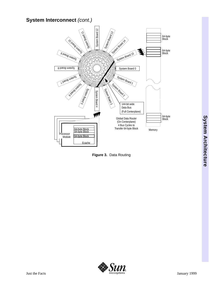#### **System Interconnect** *(cont.)*



**Figure 3.** Data Routing

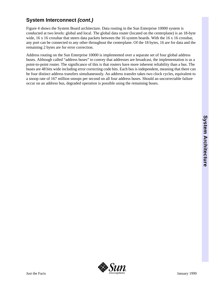# System Architecture **System Architecture**

#### **System Interconnect** *(cont.)*

Figure 4 shows the System Board architecture. Data routing in the Sun Enterprise 10000 system is conducted at two levels: global and local. The global data router (located on the centerplane) is an 18-byte wide, 16 x 16 crossbar that steers data packets between the 16 system boards. With the 16 x 16 crossbar, any port can be connected to any other throughout the centerplane. Of the 18 bytes, 16 are for data and the remaining 2 bytes are for error correction.

Address routing on the Sun Enterprise 10000 is implemented over a separate set of four global address buses. Although called "address buses" to convey that addresses are broadcast, the implementation is as a point-to-point router. The significance of this is that routers have more inherent reliability than a bus. The buses are 48 bits wide including error correcting code bits. Each bus is independent, meaning that there can be four distinct address transfers simultaneously. An address transfer takes two clock cycles, equivalent to a snoop rate of 167 million snoops per second on all four address buses. Should an uncorrectable failure occur on an address bus, degraded operation is possible using the remaining buses.

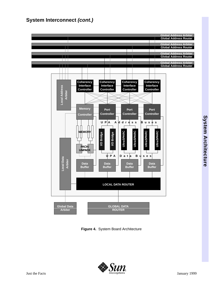#### **System Interconnect** *(cont.)*



**Figure 4.** System Board Architecture

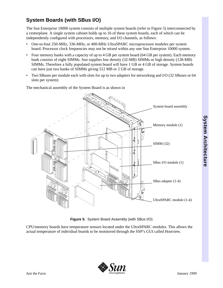#### **System Boards (with SBus I/O)**

The Sun Enterprise 10000 system consists of multiple system boards (refer to Figure 5) interconnected by a centerplane. A single system cabinet holds up to 16 of these system boards, each of which can be independently configured with processors, memory, and I/O channels, as follows:

- One-to-four 250-MHz, 336-MHz, or 400-MHz UltraSPARC microprocessor modules per system board. Processor clock frequencies may not be mixed within any one Sun Enterprise 10000 system.
- Four memory banks with a capacity of up to 4 GB per system board (64 GB per system). Each memory bank consists of eight SIMMs. Sun supplies low density (32-MB) SIMMs or high density (128-MB) SIMMs. Therefore a fully populated system board will have 1 GB or 4 GB of storage. System boards can have just two banks of SIMMs giving 512 MB or 2 GB of storage.
- Two SBuses per module each with slots for up to two adapters for networking and I/O (32 SBuses or 64 slots per system)

System board assembly Memory module (1) SIMM (32) SBus I/O module (1) SBus adapter (1-4) UltraSPARC module (1-4)

The mechanical assembly of the System Board is as shown in



CPU/memory boards have temperature sensors located under the UltraSPARC modules. This allows the actual temperature of individual boards to be monitored through the SSP's GUI called Hostview.

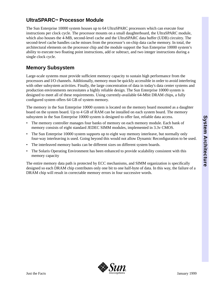#### **UltraSPARCTM Processor Module**

The Sun Enterprise 10000 system houses up to 64 UltraSPARC processors which can execute four instructions per clock cycle. The processor mounts on a small daughterboard, the UltraSPARC module, which also houses the 4-MB, second-level cache and the UltraSPARC data buffer (UDB) circuitry. The second-level cache handles cache misses from the processor's on-chip data cache memory. In total, the architectural elements on the processor chip and the module support the Sun Enterprise 10000 system's ability to execute two floating point instructions, add or subtract, and two integer instructions during a single clock cycle.

#### **Memory Subsystem**

Large-scale systems must provide sufficient memory capacity to sustain high performance from the processors and I/O channels. Additionally, memory must be quickly accessible in order to avoid interfering with other subsystem activities. Finally, the large concentration of data in today's data center systems and production environments necessitates a highly reliable design. The Sun Enterprise 10000 system is designed to meet all of these requirements. Using currently-available 64-Mbit DRAM chips, a fully configured system offers 64 GB of system memory.

The memory in the Sun Enterprise 10000 system is located on the memory board mounted as a daughter board on the system board. Up to 4 GB of RAM can be installed on each system board. The memory subsystem in the Sun Enterprise 10000 system is designed to offer fast, reliable data access.

- The memory controller manages four banks of memory on each memory module. Each bank of memory consists of eight standard JEDEC SIMM modules, implemented in 3.3v CMOS.
- The Sun Enterprise 10000 system supports up to eight way memory interleave, but normally only four-way interleaving is used. Going beyond this would not allow Dynamic Reconfiguration to be used.
- The interleaved memory banks can be different sizes on different system boards.
- The Solaris Operating Environment has been enhanced to provide scalability consistent with this memory capacity

The entire memory data path is protected by ECC mechanisms, and SIMM organization is specifically designed so each DRAM chip contributes only one bit to one half-byte of data. In this way, the failure of a DRAM chip will result in correctable memory errors in four successive words.

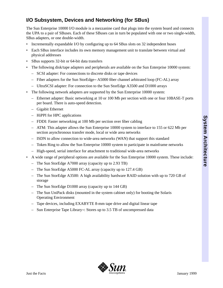#### **I/O Subsystem, Devices and Networking (for SBus)**

The Sun Enterprise 10000 I/O module is a mezzanine card that plugs into the system board and connects the UPA to a pair of SBuses. Each of these SBuses can in turn be populated with one or two single-width, SBus adapters, or one double-width.

- Incrementally expandable I/O by configuring up to 64 SBus slots on 32 independent buses
- Each SBus interface includes its own memory management unit to translate between virtual and physical addresses
- SBus supports 32-bit or 64-bit data transfers
- The following disk/tape adapters and peripherals are available on the Sun Enterprise 10000 system:
	- SCSI adapter: For connections to discrete disks or tape devices
	- Fiber adapters for the Sun StorEdge<sup>N</sup> A5000 fiber channel arbitrated loop (FC-AL) array
	- UltraSCSI adapter: For connection to the Sun StorEdge A3500 and D1000 arrays
- The following network adapters are supported by the Sun Enterprise 10000 system:
	- Ethernet adapter: Basic networking at 10 or 100 Mb per section with one or four 10BASE-T ports per board. There is auto-speed detection.
	- Gigabit Ethernet
	- HiPPI for HPC applications
	- FDDI: Faster networking at 100 Mb per section over fiber cabling
	- ATM: This adapter allows the Sun Enterprise 10000 system to interface to 155 or 622 Mb per section asynchronous transfer mode, local or wide area networks
	- ISDN to allow connection to wide-area networks (WAN) that support this standard
	- Token Ring to allow the Sun Enterprise 10000 system to participate in mainframe networks
	- High-speed, serial interface for attachment to traditional wide-area networks
- A wide range of peripheral options are available for the Sun Enterprise 10000 system. These include:
	- The Sun StorEdge A7000 array (capacity up to 2.93 TB)
	- The Sun StorEdge A5000 FC-AL array (capacity up to 127.4 GB)
	- The Sun StorEdge A3500: A high availability hardware RAID solution with up to 720 GB of storage
	- The Sun StorEdge D1000 array (capacity up to 144 GB)
	- The Sun UniPack disks (mounted in the system cabinet only) for booting the Solaris Operating Environment
	- Tape devices, including EXABYTE 8-mm tape drive and digital linear tape
	- Sun Enterprise Tape Library<sup> $M$ </sup>: Stores up to 3.5 TB of uncompressed data

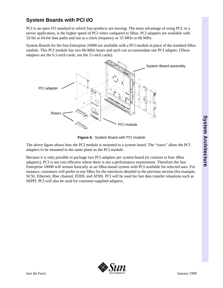#### **System Boards with PCI I/O**

PCI is an open I/O standard to which Sun products are moving. The main advantage of using PCI, in a server application, is the higher speed of PCI when compared to SBus. PCI adapters are available with 32-bit or 64-bit data paths and run at a clock frequency or 33 MHz or 66 MHz.

System Boards for the Sun Enterprise 10000 are available with a PCI module in place of the standard SBus module. This PCI module has two 66-MHz buses and each can accommodate one PCI adapter. (These adapters are the 6.5-inch cards, not the 11-inch cards).



**Figure 6.** System Board with PCI module

The above figure shows how the PCI module is mounted to a system board. The "risers" allow the PCI adapters to be mounted in the same plane as the PCI module.

Because it is only possible to package two PCI adapters per system board (in contrast to four SBus adapters), PCI is not cost effective where there is not a performance requirement. Therefore the Sun Enterprise 10000 will remain basically as an SBus-based system with PCI available for selected uses. For instance, customers will prefer to use SBus for the interfaces detailed in the previous section (for example, SCSI, Ethernet, fiber channel, FDDI, and ATM). PCI will be used for fast data transfer situations such as HIPPI. PCI will also be used for customer-supplied adapters.

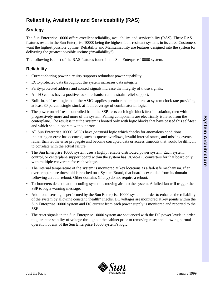#### **Reliability, Availability and Serviceability (RAS)**

#### **Strategy**

The Sun Enterprise 10000 offers excellent reliability, availability, and serviceability (RAS). These RAS features result in the Sun Enterprise 10000 being the highest fault-resistant systems in its class. Customers want the highest possible uptime. Reliability and Maintainability are features designed into the system for delivering the greatest possible uptime ("Availability").

The following is a list of the RAS features found in the Sun Enterprise 10000 system.

#### **Reliability**

- Current-sharing power circuitry supports redundant power capability.
- ECC-protected data throughout the system increases data integrity.
- Parity-protected address and control signals increase the integrity of those signals.
- All I/O cables have a positive lock mechanism and a strain-relief support.
- Built-in, self-test logic in all the ASICs applies pseudo-random patterns at system clock rate providing at least 80 percent single-stuck-at-fault coverage of combinatorial logic.
- The power-on self-test, controlled from the SSP, tests each logic block first in isolation, then with progressively more and more of the system. Failing components are electrically isolated from the centerplane. The result is that the system is booted only with logic blocks that have passed this self-test and which should operate without error.
- All Sun Enterprise 10000 ASICs have *paranoid* logic which checks for anomalous conditions indicating an error has occurred, such as queue overflows, invalid internal states, and missing events, rather than let the error propagate and become corrupted data or access timeouts that would be difficult to correlate with the actual failure.
- The Sun Enterprise 10000 system uses a highly reliable distributed power system. Each system, control, or centerplane support board within the system has DC-to-DC converters for that board only, with multiple converters for each voltage.
- The internal temperature of the system is monitored at key locations as a fail-safe mechanism. If an over-temperature threshold is reached on a System Board, that board is excluded from its domain following an auto-reboot. Other domains (if any) do not require a reboot.
- Tachometers detect that the cooling system is moving air into the system. A failed fan will trigger the SSP to log a warning message.
- Additional sensing is performed by the Sun Enterprise 10000 system in order to enhance the reliability of the system by allowing constant "health" checks. DC voltages are monitored at key points within the Sun Enterprise 10000 system and DC current from each power supply is monitored and reported to the SSP.
- The reset signals in the Sun Enterprise 10000 system are sequenced with the DC power levels in order to guarantee stability of voltage throughout the cabinet prior to removing reset and allowing normal operation of any of the Sun Enterprise 10000 system's logic.

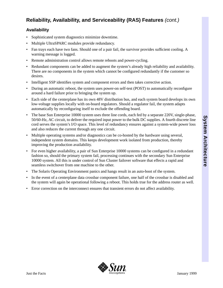#### **Reliability, Availability, and Serviceability (RAS) Features** *(cont.)*

#### **Availability**

- Sophisticated system diagnostics minimize downtime.
- Multiple UltraSPARC modules provide redundancy.
- Fan trays each have two fans. Should one of a pair fail, the survivor provides sufficient cooling. A warning message is logged.
- Remote administration control allows remote reboots and power-cycling.
- Redundant components can be added to augment the system's already high reliability and availability. There are no components in the system which cannot be configured redundantly if the customer so desires.
- Intelligent SSP identifies system and component errors and then takes corrective action.
- During an automatic reboot, the system uses power-on self-test (POST) to automatically reconfigure around a hard failure prior to bringing the system up.
- Each side of the centerplane has its own 48V distribution bus, and each system board develops its own low-voltage supplies locally with on-board regulators. Should a regulator fail, the system adapts automatically by reconfiguring itself to exclude the offending board.
- The base Sun Enterprise 10000 system uses three line cords, each fed by a separate 220V, single-phase, 50/60-Hz, AC circuit, to deliver the required input power to the bulk DC supplies. A fourth discrete line cord serves the system's I/O space. This level of redundancy ensures against a system-wide power loss and also reduces the current through any one circuit.
- Multiple operating systems and/or diagnostics can be co-hosted by the hardware using several, independent system domains. This keeps development work isolated from production, thereby improving the production availability.
- For even higher availability, a pair of Sun Enterprise 10000 systems can be configured in a redundant fashion so, should the primary system fail, processing continues with the secondary Sun Enterprise 10000 system. All this is under control of Sun Cluster failover software that effects a rapid and seamless switchover from one machine to the other.
- The Solaris Operating Environment panics and hangs result in an auto-boot of the system.
- In the event of a centerplane data crossbar component failure, one half of the crossbar is disabled and the system will again be operational following a reboot. This holds true for the address router as well.
- Error correction on the interconnect ensures that transient errors do not affect availability.

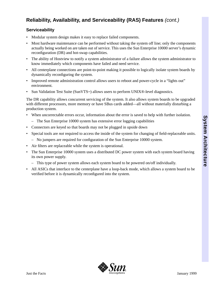#### **Reliability, Availability, and Serviceability (RAS) Features** *(cont.)*

#### **Serviceability**

- Modular system design makes it easy to replace failed components.
- Most hardware maintenance can be performed without taking the system off line; only the components actually being worked on are taken out of service. This uses the Sun Enterprise 10000 server's dynamic reconfiguration (DR) and hot-swap capabilities.
- The ability of Hostview to notify a system administrator of a failure allows the system administrator to know immediately which components have failed and need service.
- All centerplane connections are point-to-point making it possible to logically isolate system boards by dynamically reconfiguring the system.
- Improved remote administration control allows users to reboot and power-cycle in a "lights out" environment.
- Sun Validation Test Suite (SunVTS<sup> $M$ </sup>) allows users to perform UNIX®-level diagnostics.

The DR capability allows concurrent servicing of the system. It also allows system boards to be upgraded with different processors, more memory or have SBus cards added—all without materially disturbing a production system.

- When uncorrectable errors occur, information about the error is saved to help with further isolation.
	- The Sun Enterprise 10000 system has extensive error logging capabilities
- Connectors are keyed so that boards may not be plugged in upside down
- Special tools are *not* required to access the inside of the system for changing of field-replaceable units.
	- No jumpers are required for configuration of the Sun Enterprise 10000 system.
- Air filters are replaceable while the system is operational.
- The Sun Enterprise 10000 system uses a distributed DC power system with each system board having its own power supply.
	- This type of power system allows each system board to be powered on/off individually.
- All ASICs that interface to the centerplane have a loop-back mode, which allows a system board to be verified before it is dynamically reconfigured into the system.